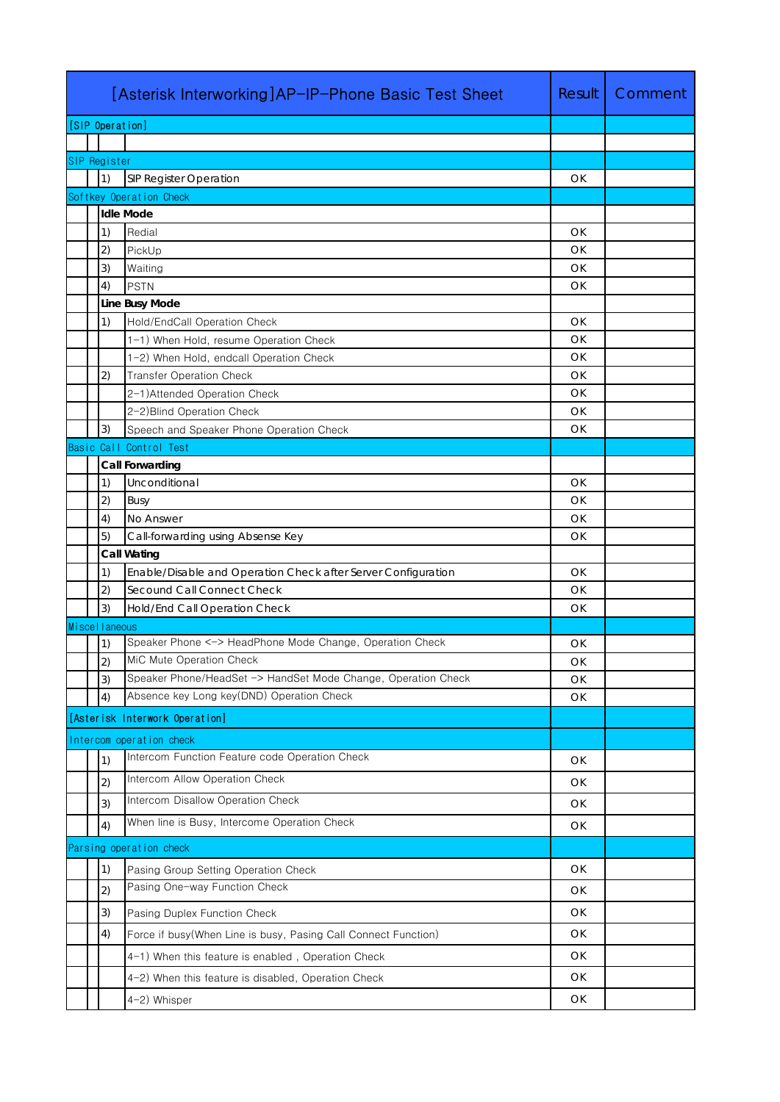|                         | [Asterisk Interworking]AP-IP-Phone Basic Test Sheet | Result                                                                     | Comment  |  |  |  |
|-------------------------|-----------------------------------------------------|----------------------------------------------------------------------------|----------|--|--|--|
|                         | [SIP Operation]                                     |                                                                            |          |  |  |  |
|                         |                                                     |                                                                            |          |  |  |  |
|                         | SIP Register                                        |                                                                            |          |  |  |  |
|                         | 1)                                                  | SIP Register Operation                                                     | OK       |  |  |  |
| Softkey Operation Check |                                                     |                                                                            |          |  |  |  |
|                         |                                                     | <b>Idle Mode</b>                                                           |          |  |  |  |
|                         | 1)                                                  | Redial                                                                     | OK       |  |  |  |
|                         | 2)                                                  | PickUp                                                                     | OK       |  |  |  |
|                         | 3)                                                  | Waiting                                                                    | OK       |  |  |  |
|                         | 4)                                                  | <b>PSTN</b>                                                                | OK       |  |  |  |
|                         |                                                     | Line Busy Mode                                                             |          |  |  |  |
|                         | 1)                                                  | Hold/EndCall Operation Check                                               | OK       |  |  |  |
|                         |                                                     | 1-1) When Hold, resume Operation Check                                     | OK       |  |  |  |
|                         | 2)                                                  | 1-2) When Hold, endcall Operation Check<br><b>Transfer Operation Check</b> | OK<br>OK |  |  |  |
|                         |                                                     | 2-1) Attended Operation Check                                              | OK       |  |  |  |
|                         |                                                     | 2-2) Blind Operation Check                                                 | OK       |  |  |  |
|                         | 3)                                                  | Speech and Speaker Phone Operation Check                                   | OK       |  |  |  |
|                         |                                                     | Basic Call Control Test                                                    |          |  |  |  |
|                         |                                                     | Call Forwarding                                                            |          |  |  |  |
|                         | 1)                                                  | Unconditional                                                              | OK       |  |  |  |
|                         | 2)                                                  | Busy                                                                       | OK       |  |  |  |
|                         | 4)                                                  | No Answer                                                                  | OK       |  |  |  |
|                         | 5)                                                  | Call-forwarding using Absense Key                                          | OK       |  |  |  |
|                         |                                                     | Call Wating                                                                |          |  |  |  |
|                         | 1)                                                  | Enable/Disable and Operation Check after Server Configuration              | OK       |  |  |  |
|                         | 2)                                                  | Secound Call Connect Check                                                 | OK       |  |  |  |
|                         | 3)                                                  | Hold/End Call Operation Check                                              | OK       |  |  |  |
| Miscellaneous           |                                                     |                                                                            |          |  |  |  |
|                         | 1)                                                  | Speaker Phone <-> HeadPhone Mode Change, Operation Check                   | OK       |  |  |  |
|                         | 2)                                                  | MiC Mute Operation Check                                                   | OK       |  |  |  |
|                         | 3)                                                  | Speaker Phone/HeadSet -> HandSet Mode Change, Operation Check              | OK       |  |  |  |
|                         | 4)                                                  | Absence key Long key(DND) Operation Check                                  | OK       |  |  |  |
|                         |                                                     | [Asterisk Interwork Operation]                                             |          |  |  |  |
|                         |                                                     | Intercom operation check                                                   |          |  |  |  |
|                         | 1)                                                  | Intercom Function Feature code Operation Check                             | OK       |  |  |  |
|                         | 2)                                                  | Intercom Allow Operation Check                                             | OK.      |  |  |  |
|                         |                                                     | Intercom Disallow Operation Check                                          |          |  |  |  |
|                         | 3)                                                  | When line is Busy, Intercome Operation Check                               | OK.      |  |  |  |
|                         | 4)                                                  |                                                                            | OK       |  |  |  |
|                         |                                                     | Parsing operation check                                                    |          |  |  |  |
|                         | 1)                                                  | Pasing Group Setting Operation Check                                       | OK       |  |  |  |
|                         | 2)                                                  | Pasing One-way Function Check                                              | OK.      |  |  |  |
|                         | 3)                                                  | Pasing Duplex Function Check                                               | OK       |  |  |  |
|                         | 4)                                                  | Force if busy(When Line is busy, Pasing Call Connect Function)             | OK.      |  |  |  |
|                         |                                                     |                                                                            |          |  |  |  |
|                         |                                                     | 4-1) When this feature is enabled, Operation Check                         | OK.      |  |  |  |
|                         |                                                     | 4-2) When this feature is disabled, Operation Check                        | OK.      |  |  |  |
|                         |                                                     | 4-2) Whisper                                                               | OK       |  |  |  |